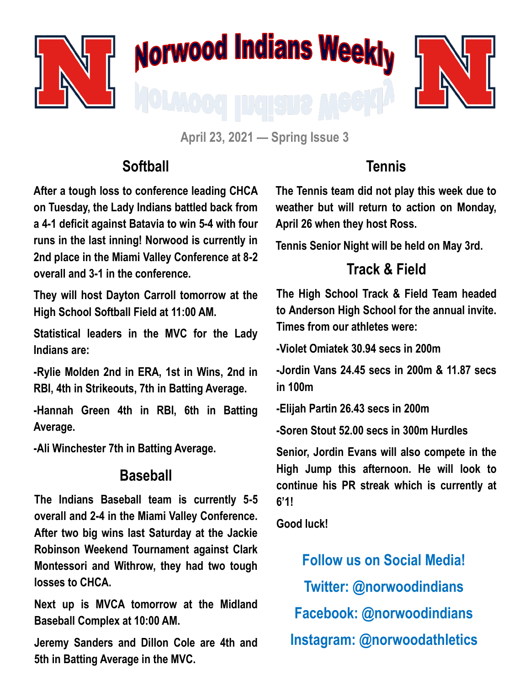

# **Norwood Indians Weekly**



**April 23, 2021 — Spring Issue 3**

### **Softball**

**After a tough loss to conference leading CHCA on Tuesday, the Lady Indians battled back from a 4-1 deficit against Batavia to win 5-4 with four runs in the last inning! Norwood is currently in 2nd place in the Miami Valley Conference at 8-2 overall and 3-1 in the conference.**

**They will host Dayton Carroll tomorrow at the High School Softball Field at 11:00 AM.** 

**Statistical leaders in the MVC for the Lady Indians are:**

**-Rylie Molden 2nd in ERA, 1st in Wins, 2nd in RBI, 4th in Strikeouts, 7th in Batting Average.**

**-Hannah Green 4th in RBI, 6th in Batting Average.** 

**-Ali Winchester 7th in Batting Average.**

#### **Baseball**

**The Indians Baseball team is currently 5-5 overall and 2-4 in the Miami Valley Conference. After two big wins last Saturday at the Jackie Robinson Weekend Tournament against Clark Montessori and Withrow, they had two tough losses to CHCA.** 

**Next up is MVCA tomorrow at the Midland Baseball Complex at 10:00 AM.** 

**Jeremy Sanders and Dillon Cole are 4th and 5th in Batting Average in the MVC.**

## **Tennis**

**The Tennis team did not play this week due to weather but will return to action on Monday, April 26 when they host Ross.** 

**Tennis Senior Night will be held on May 3rd.** 

# **Track & Field**

**The High School Track & Field Team headed to Anderson High School for the annual invite. Times from our athletes were:**

**-Violet Omiatek 30.94 secs in 200m**

**-Jordin Vans 24.45 secs in 200m & 11.87 secs in 100m**

**-Elijah Partin 26.43 secs in 200m**

**-Soren Stout 52.00 secs in 300m Hurdles**

**Senior, Jordin Evans will also compete in the High Jump this afternoon. He will look to continue his PR streak which is currently at 6'1!**

**Good luck!**

**Follow us on Social Media! Twitter: @norwoodindians Facebook: @norwoodindians Instagram: @norwoodathletics**